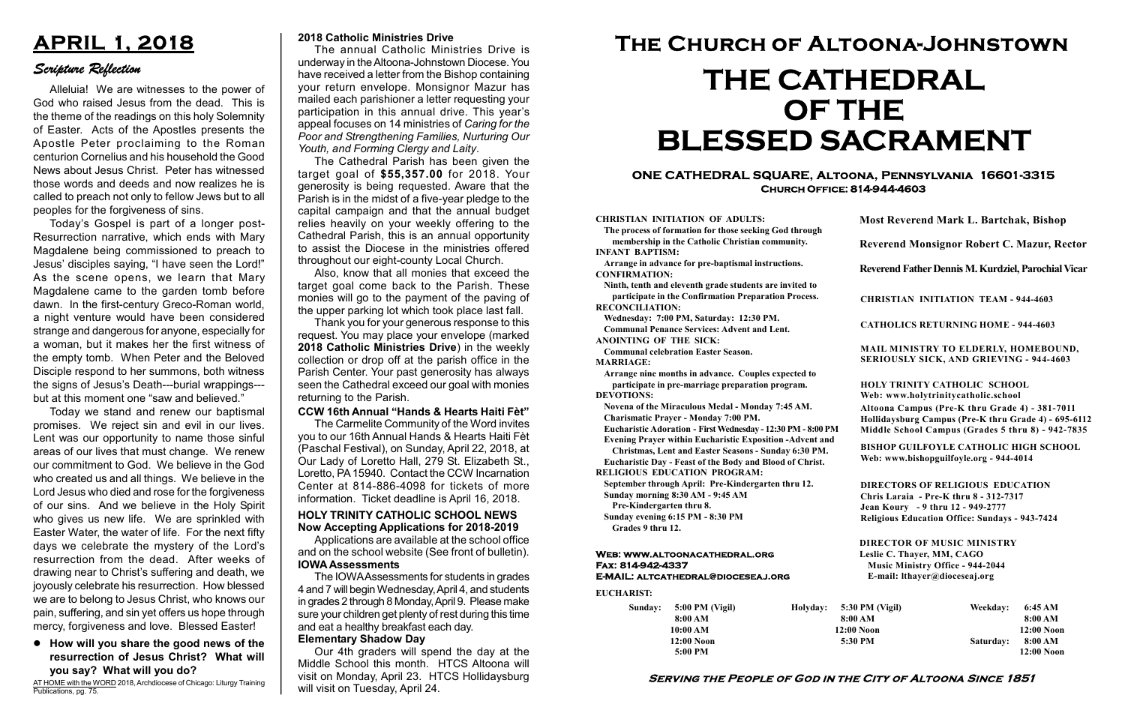#### Serving the People of God in the City of Altoona Since 1851

Sunday: 5:00 PM (Vigil) 8:00 AM 10:00 AM 12:00 Noon 5:00 PM Holyday:

#### Web: www.altoonacathedral.org Fax: 814-942-4337 E-MAIL: altcathedral@dioceseaj.org

EUCHARIST:

#### CHRISTIAN INITIATION OF ADULTS:

The process of formation for those seeking God through membership in the Catholic Christian community. INFANT BAPTISM:

Arrange in advance for pre-baptismal instructions. CONFIRMATION:

Ninth, tenth and eleventh grade students are invited to participate in the Confirmation Preparation Process. RECONCILIATION:

Wednesday: 7:00 PM, Saturday: 12:30 PM. Communal Penance Services: Advent and Lent.

ANOINTING OF THE SICK:

Communal celebration Easter Season. MARRIAGE:

Arrange nine months in advance. Couples expected to participate in pre-marriage preparation program. DEVOTIONS:

Novena of the Miraculous Medal - Monday 7:45 AM.

Charismatic Prayer - Monday 7:00 PM. Eucharistic Adoration - First Wednesday - 12:30 PM - 8:00 PM

Evening Prayer within Eucharistic Exposition -Advent and

Christmas, Lent and Easter Seasons - Sunday 6:30 PM.

|                       | <b>Most Reverend Mark L. Bartchak, Bishop</b><br>Reverend Monsignor Robert C. Mazur, Rector                                                                                     |           |                         |
|-----------------------|---------------------------------------------------------------------------------------------------------------------------------------------------------------------------------|-----------|-------------------------|
|                       |                                                                                                                                                                                 |           |                         |
|                       | Reverend Father Dennis M. Kurdziel, Parochial Vicar                                                                                                                             |           |                         |
|                       | <b>CHRISTIAN INITIATION TEAM - 944-4603</b>                                                                                                                                     |           |                         |
|                       | <b>CATHOLICS RETURNING HOME - 944-4603</b>                                                                                                                                      |           |                         |
|                       | MAIL MINISTRY TO ELDERLY, HOMEBOUND,<br>SERIOUSLY SICK, AND GRIEVING - 944-4603                                                                                                 |           |                         |
|                       | <b>HOLY TRINITY CATHOLIC SCHOOL</b><br>Web: www.holytrinitycatholic.school                                                                                                      |           |                         |
| М                     | Altoona Campus (Pre-K thru Grade 4) - 381-7011<br>Hollidaysburg Campus (Pre-K thru Grade 4) - 695-6112<br>Middle School Campus (Grades 5 thru 8) - 942-7835                     |           |                         |
| ł                     | <b>BISHOP GUILFOYLE CATHOLIC HIGH SCHOOL</b><br>Web: www.bishopguilfoyle.org - 944-4014                                                                                         |           |                         |
|                       | <b>DIRECTORS OF RELIGIOUS EDUCATION</b><br>Chris Laraia - Pre-K thru 8 - 312-7317<br>Jean Koury - 9 thru 12 - 949-2777<br><b>Religious Education Office: Sundays - 943-7424</b> |           |                         |
|                       | <b>DIRECTOR OF MUSIC MINISTRY</b><br>Leslie C. Thayer, MM, CAGO<br><b>Music Ministry Office - 944-2044</b><br>E-mail: lthayer@dioceseaj.org                                     |           |                         |
| 5:30 PM (Vigil)       |                                                                                                                                                                                 | Weekday:  | 6:45 AM                 |
| 8:00 AM<br>12:00 Noon |                                                                                                                                                                                 |           | 8:00 AM<br>12:00 Noon   |
| 5:30 PM               |                                                                                                                                                                                 | Saturday: | 8:00 AM<br>$12:00$ Noon |
|                       |                                                                                                                                                                                 |           |                         |

Eucharistic Day - Feast of the Body and Blood of Christ. RELIGIOUS EDUCATION PROGRAM:

September through April: Pre-Kindergarten thru 12. Sunday morning 8:30 AM - 9:45 AM

Pre-Kindergarten thru 8.

Sunday evening 6:15 PM - 8:30 PM Grades 9 thru 12.

#### ONE CATHEDRAL SQUARE, Altoona, Pennsylvania 16601-3315 Church Office: 814-944-4603

# The Church of Altoona-Johnstown THE CATHEDRAL OF THE BLESSED SACRAMENT

#### 2018 Catholic Ministries Drive

The annual Catholic Ministries Drive is underway in the Altoona-Johnstown Diocese. You have received a letter from the Bishop containing your return envelope. Monsignor Mazur has mailed each parishioner a letter requesting your participation in this annual drive. This year's appeal focuses on 14 ministries of Caring for the Poor and Strengthening Families, Nurturing Our Youth, and Forming Clergy and Laity.

AT HOME with the WORD 2018, Archdiocese of Chicago: Liturgy Training Publications, pg. 75.

The Cathedral Parish has been given the target goal of \$55,357.00 for 2018. Your generosity is being requested. Aware that the Parish is in the midst of a five-year pledge to the capital campaign and that the annual budget relies heavily on your weekly offering to the Cathedral Parish, this is an annual opportunity to assist the Diocese in the ministries offered throughout our eight-county Local Church.

Also, know that all monies that exceed the target goal come back to the Parish. These monies will go to the payment of the paving of the upper parking lot which took place last fall.

Thank you for your generous response to this request. You may place your envelope (marked 2018 Catholic Ministries Drive) in the weekly collection or drop off at the parish office in the Parish Center. Your past generosity has always seen the Cathedral exceed our goal with monies returning to the Parish.

## APRIL 1, 2018

### Scripture Reflection

#### How will you share the good news of the resurrection of Jesus Christ? What will you say? What will you do?

Alleluia! We are witnesses to the power of God who raised Jesus from the dead. This is the theme of the readings on this holy Solemnity of Easter. Acts of the Apostles presents the Apostle Peter proclaiming to the Roman centurion Cornelius and his household the Good News about Jesus Christ. Peter has witnessed those words and deeds and now realizes he is called to preach not only to fellow Jews but to all peoples for the forgiveness of sins.

Today's Gospel is part of a longer post-Resurrection narrative, which ends with Mary Magdalene being commissioned to preach to Jesus' disciples saying, "I have seen the Lord!" As the scene opens, we learn that Mary Magdalene came to the garden tomb before dawn. In the first-century Greco-Roman world, a night venture would have been considered strange and dangerous for anyone, especially for a woman, but it makes her the first witness of the empty tomb. When Peter and the Beloved Disciple respond to her summons, both witness the signs of Jesus's Death---burial wrappings-- but at this moment one "saw and believed."

Today we stand and renew our baptismal promises. We reject sin and evil in our lives. Lent was our opportunity to name those sinful areas of our lives that must change. We renew our commitment to God. We believe in the God who created us and all things. We believe in the Lord Jesus who died and rose for the forgiveness of our sins. And we believe in the Holy Spirit who gives us new life. We are sprinkled with Easter Water, the water of life. For the next fifty days we celebrate the mystery of the Lord's resurrection from the dead. After weeks of drawing near to Christ's suffering and death, we joyously celebrate his resurrection. How blessed we are to belong to Jesus Christ, who knows our pain, suffering, and sin yet offers us hope through mercy, forgiveness and love. Blessed Easter!

#### CCW 16th Annual "Hands & Hearts Haiti Fèt"

The Carmelite Community of the Word invites you to our 16th Annual Hands & Hearts Haiti Fèt (Paschal Festival), on Sunday, April 22, 2018, at Our Lady of Loretto Hall, 279 St. Elizabeth St., Loretto, PA 15940. Contact the CCW Incarnation Center at 814-886-4098 for tickets of more information. Ticket deadline is April 16, 2018.

#### Now Accepting Applications for 2018-2019 HOLY TRINITY CATHOLIC SCHOOL NEWS

Applications are available at the school office and on the school website (See front of bulletin). IOWA Assessments

The IOWA Assessments for students in grades 4 and 7 will begin Wednesday, April 4, and students in grades 2 through 8 Monday, April 9. Please make sure your children get plenty of rest during this time and eat a healthy breakfast each day.

#### Elementary Shadow Day

Our 4th graders will spend the day at the Middle School this month. HTCS Altoona will visit on Monday, April 23. HTCS Hollidaysburg will visit on Tuesday, April 24.